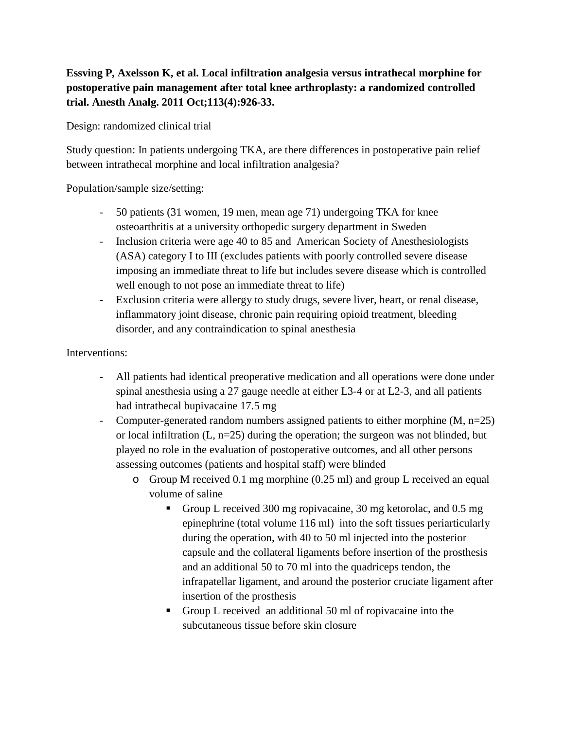## **Essving P, Axelsson K, et al. Local infiltration analgesia versus intrathecal morphine for postoperative pain management after total knee arthroplasty: a randomized controlled trial. Anesth Analg. 2011 Oct;113(4):926-33.**

Design: randomized clinical trial

Study question: In patients undergoing TKA, are there differences in postoperative pain relief between intrathecal morphine and local infiltration analgesia?

Population/sample size/setting:

- 50 patients (31 women, 19 men, mean age 71) undergoing TKA for knee osteoarthritis at a university orthopedic surgery department in Sweden
- Inclusion criteria were age 40 to 85 and American Society of Anesthesiologists (ASA) category I to III (excludes patients with poorly controlled severe disease imposing an immediate threat to life but includes severe disease which is controlled well enough to not pose an immediate threat to life)
- Exclusion criteria were allergy to study drugs, severe liver, heart, or renal disease, inflammatory joint disease, chronic pain requiring opioid treatment, bleeding disorder, and any contraindication to spinal anesthesia

## Interventions:

- All patients had identical preoperative medication and all operations were done under spinal anesthesia using a 27 gauge needle at either L3-4 or at L2-3, and all patients had intrathecal bupivacaine 17.5 mg
- Computer-generated random numbers assigned patients to either morphine (M, n=25) or local infiltration (L, n=25) during the operation; the surgeon was not blinded, but played no role in the evaluation of postoperative outcomes, and all other persons assessing outcomes (patients and hospital staff) were blinded
	- o Group M received 0.1 mg morphine (0.25 ml) and group L received an equal volume of saline
		- Group L received 300 mg ropivacaine, 30 mg ketorolac, and 0.5 mg epinephrine (total volume 116 ml) into the soft tissues periarticularly during the operation, with 40 to 50 ml injected into the posterior capsule and the collateral ligaments before insertion of the prosthesis and an additional 50 to 70 ml into the quadriceps tendon, the infrapatellar ligament, and around the posterior cruciate ligament after insertion of the prosthesis
		- Group L received an additional 50 ml of ropivacaine into the subcutaneous tissue before skin closure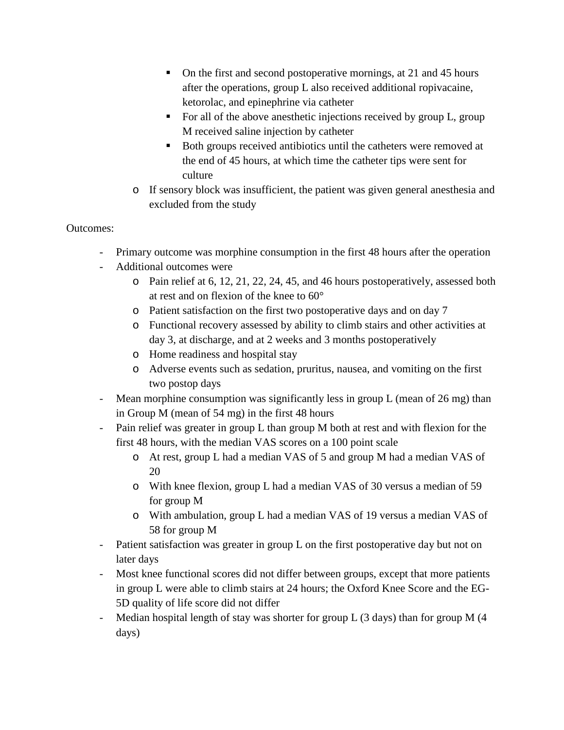- On the first and second postoperative mornings, at 21 and 45 hours after the operations, group L also received additional ropivacaine, ketorolac, and epinephrine via catheter
- For all of the above anesthetic injections received by group L, group M received saline injection by catheter
- Both groups received antibiotics until the catheters were removed at the end of 45 hours, at which time the catheter tips were sent for culture
- o If sensory block was insufficient, the patient was given general anesthesia and excluded from the study

## Outcomes:

- Primary outcome was morphine consumption in the first 48 hours after the operation
- Additional outcomes were
	- o Pain relief at 6, 12, 21, 22, 24, 45, and 46 hours postoperatively, assessed both at rest and on flexion of the knee to 60°
	- o Patient satisfaction on the first two postoperative days and on day 7
	- o Functional recovery assessed by ability to climb stairs and other activities at day 3, at discharge, and at 2 weeks and 3 months postoperatively
	- o Home readiness and hospital stay
	- o Adverse events such as sedation, pruritus, nausea, and vomiting on the first two postop days
- Mean morphine consumption was significantly less in group L (mean of 26 mg) than in Group M (mean of 54 mg) in the first 48 hours
- Pain relief was greater in group L than group M both at rest and with flexion for the first 48 hours, with the median VAS scores on a 100 point scale
	- o At rest, group L had a median VAS of 5 and group M had a median VAS of 20
	- o With knee flexion, group L had a median VAS of 30 versus a median of 59 for group M
	- o With ambulation, group L had a median VAS of 19 versus a median VAS of 58 for group M
- Patient satisfaction was greater in group L on the first postoperative day but not on later days
- Most knee functional scores did not differ between groups, except that more patients in group L were able to climb stairs at 24 hours; the Oxford Knee Score and the EG-5D quality of life score did not differ
- Median hospital length of stay was shorter for group L (3 days) than for group M (4 days)